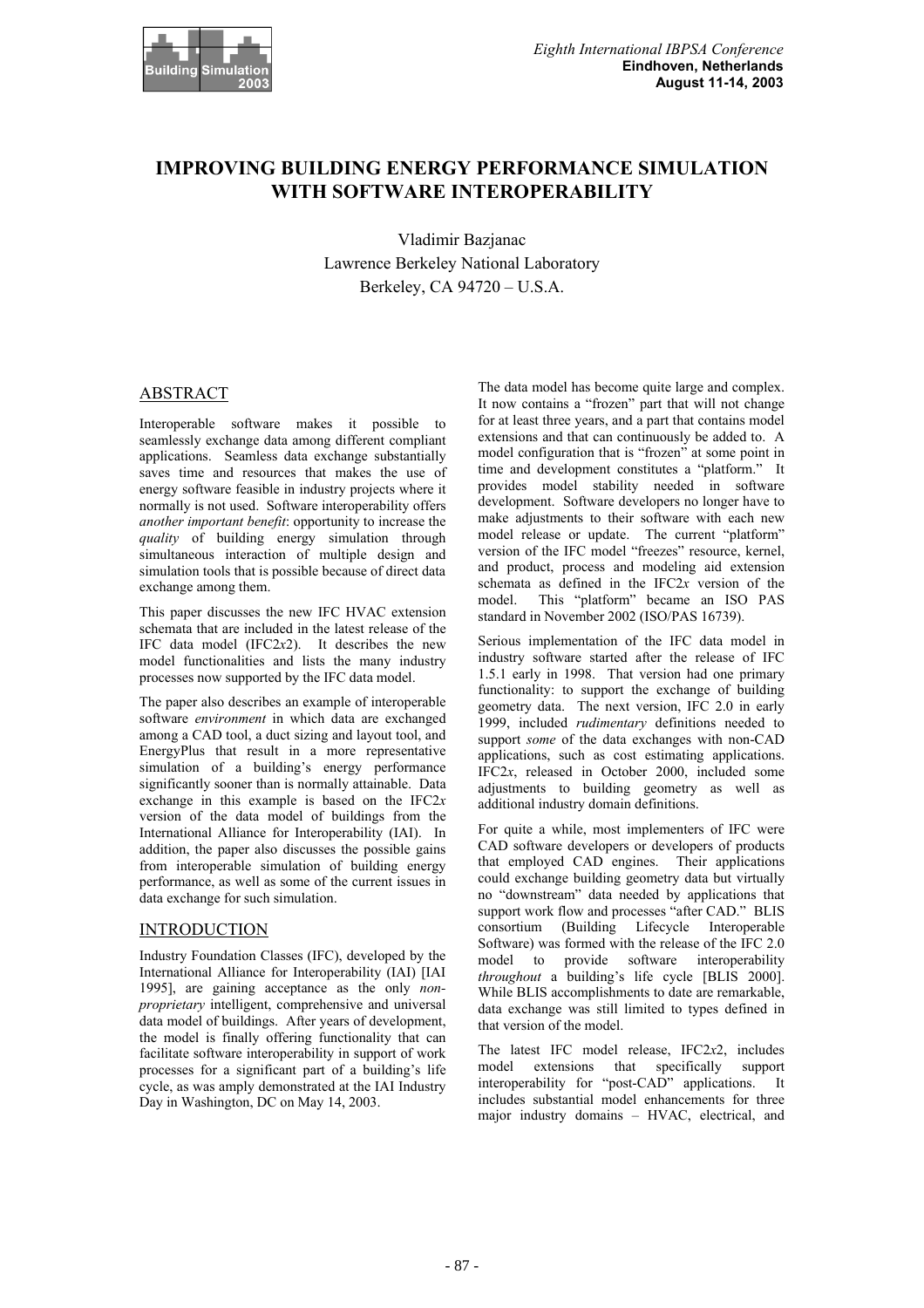

# **IMPROVING BUILDING ENERGY PERFORMANCE SIMULATION WITH SOFTWARE INTEROPERABILITY**

Vladimir Bazjanac Lawrence Berkeley National Laboratory Berkeley, CA 94720 – U.S.A.

## ABSTRACT

Interoperable software makes it possible to seamlessly exchange data among different compliant applications. Seamless data exchange substantially saves time and resources that makes the use of energy software feasible in industry projects where it normally is not used. Software interoperability offers *another important benefit*: opportunity to increase the *quality* of building energy simulation through simultaneous interaction of multiple design and simulation tools that is possible because of direct data exchange among them.

This paper discusses the new IFC HVAC extension schemata that are included in the latest release of the IFC data model (IFC2*x*2). It describes the new model functionalities and lists the many industry processes now supported by the IFC data model.

The paper also describes an example of interoperable software *environment* in which data are exchanged among a CAD tool, a duct sizing and layout tool, and EnergyPlus that result in a more representative simulation of a building's energy performance significantly sooner than is normally attainable. Data exchange in this example is based on the IFC2*x* version of the data model of buildings from the International Alliance for Interoperability (IAI). In addition, the paper also discusses the possible gains from interoperable simulation of building energy performance, as well as some of the current issues in data exchange for such simulation.

# **INTRODUCTION**

Industry Foundation Classes (IFC), developed by the International Alliance for Interoperability (IAI) [IAI 1995], are gaining acceptance as the only *nonproprietary* intelligent, comprehensive and universal data model of buildings. After years of development, the model is finally offering functionality that can facilitate software interoperability in support of work processes for a significant part of a building's life cycle, as was amply demonstrated at the IAI Industry Day in Washington, DC on May 14, 2003.

The data model has become quite large and complex. It now contains a "frozen" part that will not change for at least three years, and a part that contains model extensions and that can continuously be added to. A model configuration that is "frozen" at some point in time and development constitutes a "platform." It provides model stability needed in software development. Software developers no longer have to make adjustments to their software with each new model release or update. The current "platform" version of the IFC model "freezes" resource, kernel, and product, process and modeling aid extension schemata as defined in the IFC2*x* version of the model. This "platform" became an ISO PAS standard in November 2002 (ISO/PAS 16739).

Serious implementation of the IFC data model in industry software started after the release of IFC 1.5.1 early in 1998. That version had one primary functionality: to support the exchange of building geometry data. The next version, IFC 2.0 in early 1999, included *rudimentary* definitions needed to support *some* of the data exchanges with non-CAD applications, such as cost estimating applications. IFC2*x*, released in October 2000, included some adjustments to building geometry as well as additional industry domain definitions.

For quite a while, most implementers of IFC were CAD software developers or developers of products that employed CAD engines. Their applications could exchange building geometry data but virtually no "downstream" data needed by applications that support work flow and processes "after CAD." BLIS consortium (Building Lifecycle Interoperable Software) was formed with the release of the IFC 2.0 model to provide software interoperability *throughout* a building's life cycle [BLIS 2000]. While BLIS accomplishments to date are remarkable, data exchange was still limited to types defined in that version of the model.

The latest IFC model release, IFC2*x*2, includes model extensions that specifically support interoperability for "post-CAD" applications. It includes substantial model enhancements for three major industry domains – HVAC, electrical, and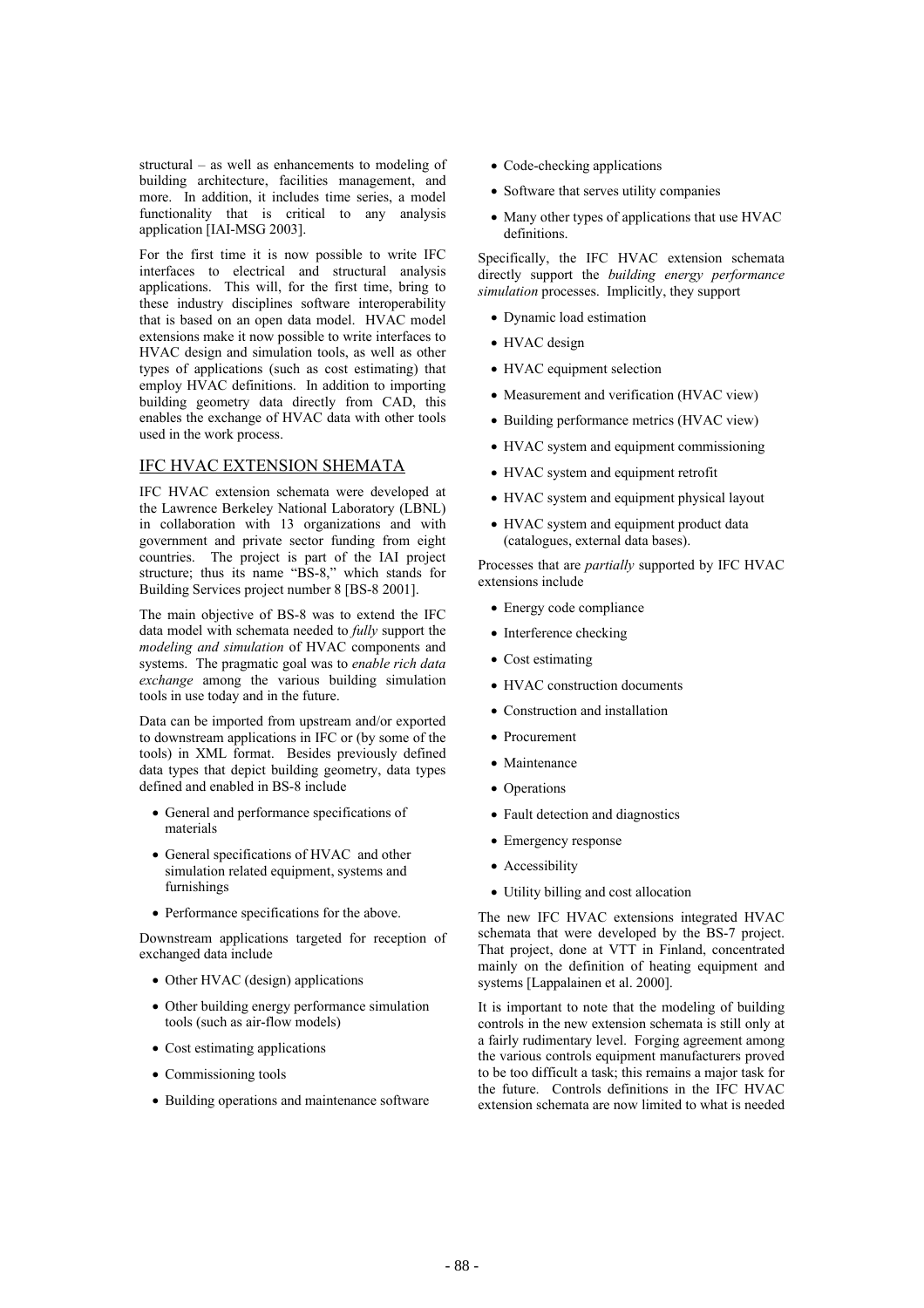structural – as well as enhancements to modeling of building architecture, facilities management, and more. In addition, it includes time series, a model functionality that is critical to any analysis application [IAI-MSG 2003].

For the first time it is now possible to write IFC interfaces to electrical and structural analysis applications. This will, for the first time, bring to these industry disciplines software interoperability that is based on an open data model. HVAC model extensions make it now possible to write interfaces to HVAC design and simulation tools, as well as other types of applications (such as cost estimating) that employ HVAC definitions. In addition to importing building geometry data directly from CAD, this enables the exchange of HVAC data with other tools used in the work process.

### IFC HVAC EXTENSION SHEMATA

IFC HVAC extension schemata were developed at the Lawrence Berkeley National Laboratory (LBNL) in collaboration with 13 organizations and with government and private sector funding from eight countries. The project is part of the IAI project structure; thus its name "BS-8," which stands for Building Services project number 8 [BS-8 2001].

The main objective of BS-8 was to extend the IFC data model with schemata needed to *fully* support the *modeling and simulation* of HVAC components and systems. The pragmatic goal was to *enable rich data exchange* among the various building simulation tools in use today and in the future.

Data can be imported from upstream and/or exported to downstream applications in IFC or (by some of the tools) in XML format. Besides previously defined data types that depict building geometry, data types defined and enabled in BS-8 include

- x General and performance specifications of materials
- General specifications of HVAC and other simulation related equipment, systems and furnishings
- Performance specifications for the above.

Downstream applications targeted for reception of exchanged data include

- Other HVAC (design) applications
- Other building energy performance simulation tools (such as air-flow models)
- $\bullet$  Cost estimating applications
- Commissioning tools
- Building operations and maintenance software
- $\bullet$  Code-checking applications
- Software that serves utility companies
- Many other types of applications that use HVAC definitions.

Specifically, the IFC HVAC extension schemata directly support the *building energy performance simulation* processes. Implicitly, they support

- Dynamic load estimation
- HVAC design
- HVAC equipment selection
- Measurement and verification (HVAC view)
- Building performance metrics (HVAC view)
- HVAC system and equipment commissioning
- HVAC system and equipment retrofit
- HVAC system and equipment physical layout
- HVAC system and equipment product data (catalogues, external data bases).

Processes that are *partially* supported by IFC HVAC extensions include

- $\bullet$  Energy code compliance
- $\bullet$  Interference checking
- $\bullet$  Cost estimating
- HVAC construction documents
- Construction and installation
- Procurement
- Maintenance
- Operations
- Fault detection and diagnostics
- Emergency response
- Accessibility
- Utility billing and cost allocation

The new IFC HVAC extensions integrated HVAC schemata that were developed by the BS-7 project. That project, done at VTT in Finland, concentrated mainly on the definition of heating equipment and systems [Lappalainen et al. 2000].

It is important to note that the modeling of building controls in the new extension schemata is still only at a fairly rudimentary level. Forging agreement among the various controls equipment manufacturers proved to be too difficult a task; this remains a major task for the future. Controls definitions in the IFC HVAC extension schemata are now limited to what is needed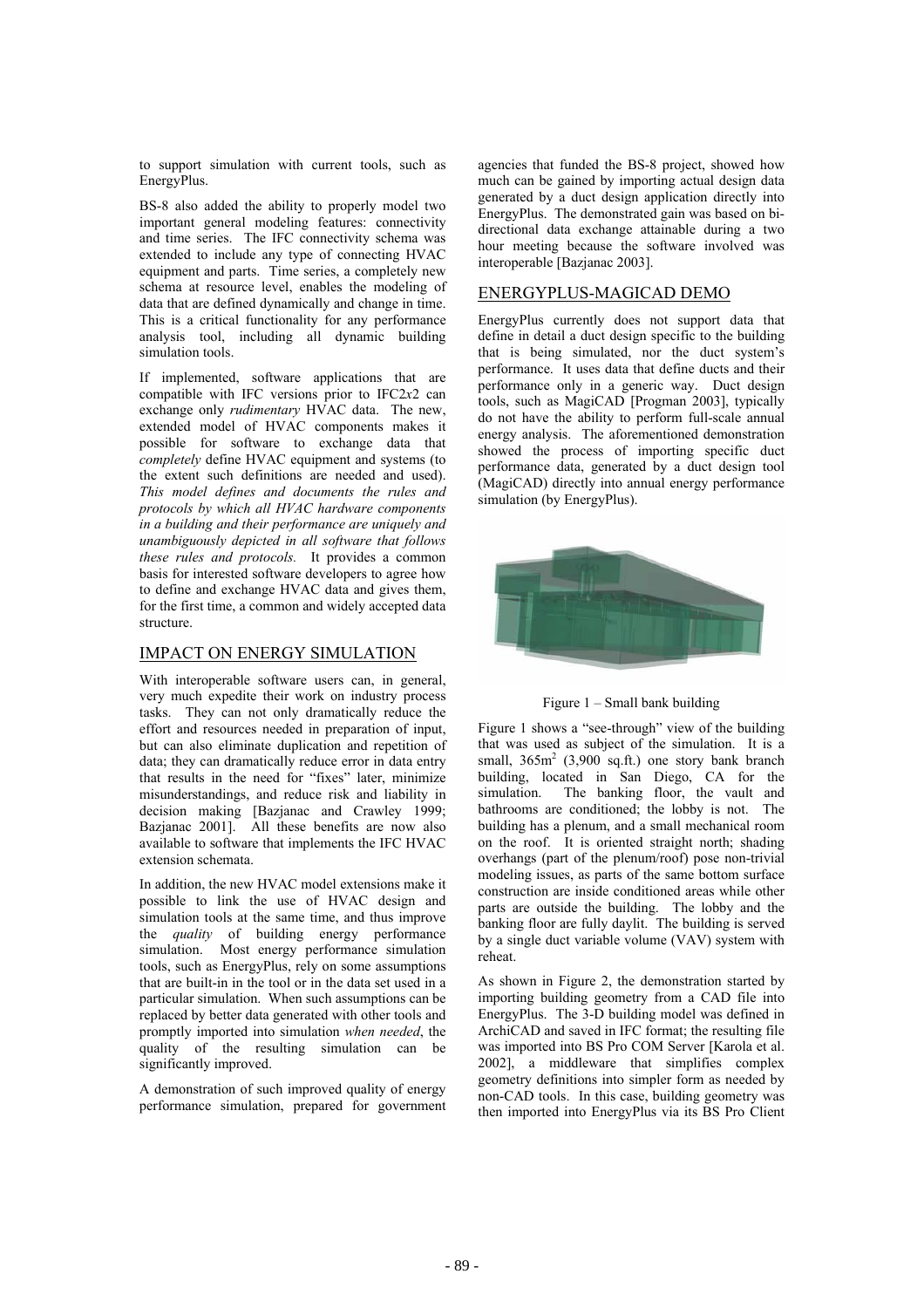to support simulation with current tools, such as EnergyPlus.

BS-8 also added the ability to properly model two important general modeling features: connectivity and time series. The IFC connectivity schema was extended to include any type of connecting HVAC equipment and parts. Time series, a completely new schema at resource level, enables the modeling of data that are defined dynamically and change in time. This is a critical functionality for any performance analysis tool, including all dynamic building simulation tools.

If implemented, software applications that are compatible with IFC versions prior to IFC2*x*2 can exchange only *rudimentary* HVAC data. The new, extended model of HVAC components makes it possible for software to exchange data that *completely* define HVAC equipment and systems (to the extent such definitions are needed and used). *This model defines and documents the rules and protocols by which all HVAC hardware components in a building and their performance are uniquely and unambiguously depicted in all software that follows these rules and protocols.* It provides a common basis for interested software developers to agree how to define and exchange HVAC data and gives them, for the first time, a common and widely accepted data structure.

# IMPACT ON ENERGY SIMULATION

With interoperable software users can, in general, very much expedite their work on industry process tasks. They can not only dramatically reduce the effort and resources needed in preparation of input, but can also eliminate duplication and repetition of data; they can dramatically reduce error in data entry that results in the need for "fixes" later, minimize misunderstandings, and reduce risk and liability in decision making [Bazjanac and Crawley 1999; Bazjanac 2001]. All these benefits are now also available to software that implements the IFC HVAC extension schemata.

In addition, the new HVAC model extensions make it possible to link the use of HVAC design and simulation tools at the same time, and thus improve the *quality* of building energy performance simulation. Most energy performance simulation tools, such as EnergyPlus, rely on some assumptions that are built-in in the tool or in the data set used in a particular simulation. When such assumptions can be replaced by better data generated with other tools and promptly imported into simulation *when needed*, the quality of the resulting simulation can be significantly improved.

A demonstration of such improved quality of energy performance simulation, prepared for government agencies that funded the BS-8 project, showed how much can be gained by importing actual design data generated by a duct design application directly into EnergyPlus. The demonstrated gain was based on bidirectional data exchange attainable during a two hour meeting because the software involved was interoperable [Bazjanac 2003].

# ENERGYPLUS-MAGICAD DEMO

EnergyPlus currently does not support data that define in detail a duct design specific to the building that is being simulated, nor the duct system's performance. It uses data that define ducts and their performance only in a generic way. Duct design tools, such as MagiCAD [Progman 2003], typically do not have the ability to perform full-scale annual energy analysis. The aforementioned demonstration showed the process of importing specific duct performance data, generated by a duct design tool (MagiCAD) directly into annual energy performance simulation (by EnergyPlus).





Figure 1 shows a "see-through" view of the building that was used as subject of the simulation. It is a small,  $365m^2$  (3,900 sq.ft.) one story bank branch building, located in San Diego, CA for the simulation. The banking floor, the vault and bathrooms are conditioned; the lobby is not. The building has a plenum, and a small mechanical room on the roof. It is oriented straight north; shading overhangs (part of the plenum/roof) pose non-trivial modeling issues, as parts of the same bottom surface construction are inside conditioned areas while other parts are outside the building. The lobby and the banking floor are fully daylit. The building is served by a single duct variable volume (VAV) system with reheat.

As shown in Figure 2, the demonstration started by importing building geometry from a CAD file into EnergyPlus. The 3-D building model was defined in ArchiCAD and saved in IFC format; the resulting file was imported into BS Pro COM Server [Karola et al. 2002], a middleware that simplifies complex geometry definitions into simpler form as needed by non-CAD tools. In this case, building geometry was then imported into EnergyPlus via its BS Pro Client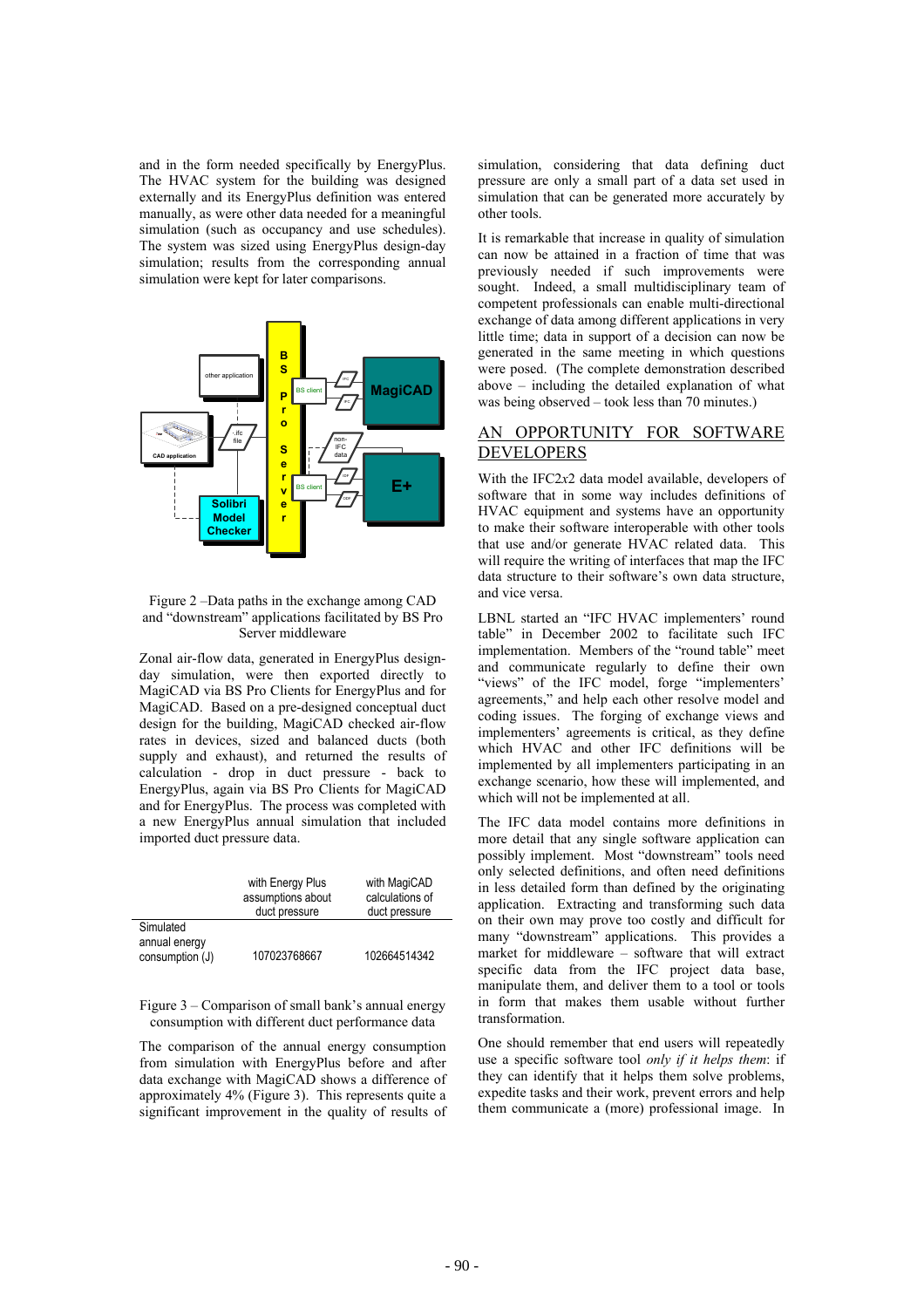and in the form needed specifically by EnergyPlus. The HVAC system for the building was designed externally and its EnergyPlus definition was entered manually, as were other data needed for a meaningful simulation (such as occupancy and use schedules). The system was sized using EnergyPlus design-day simulation: results from the corresponding annual simulation were kept for later comparisons.



#### Figure 2 –Data paths in the exchange among CAD and "downstream" applications facilitated by BS Pro Server middleware

Zonal air-flow data, generated in EnergyPlus designday simulation, were then exported directly to MagiCAD via BS Pro Clients for EnergyPlus and for MagiCAD. Based on a pre-designed conceptual duct design for the building, MagiCAD checked air-flow rates in devices, sized and balanced ducts (both supply and exhaust), and returned the results of calculation - drop in duct pressure - back to EnergyPlus, again via BS Pro Clients for MagiCAD and for EnergyPlus. The process was completed with a new EnergyPlus annual simulation that included imported duct pressure data.

|                                               | with Energy Plus<br>assumptions about<br>duct pressure | with MagiCAD<br>calculations of<br>duct pressure |
|-----------------------------------------------|--------------------------------------------------------|--------------------------------------------------|
| Simulated<br>annual energy<br>consumption (J) | 107023768667                                           | 102664514342                                     |

Figure 3 – Comparison of small bank's annual energy consumption with different duct performance data

The comparison of the annual energy consumption from simulation with EnergyPlus before and after data exchange with MagiCAD shows a difference of approximately 4% (Figure 3). This represents quite a significant improvement in the quality of results of simulation, considering that data defining duct pressure are only a small part of a data set used in simulation that can be generated more accurately by other tools.

It is remarkable that increase in quality of simulation can now be attained in a fraction of time that was previously needed if such improvements were sought. Indeed, a small multidisciplinary team of competent professionals can enable multi-directional exchange of data among different applications in very little time; data in support of a decision can now be generated in the same meeting in which questions were posed. (The complete demonstration described above – including the detailed explanation of what was being observed – took less than 70 minutes.)

# AN OPPORTUNITY FOR SOFTWARE **DEVELOPERS**

With the IFC2*x*2 data model available, developers of software that in some way includes definitions of HVAC equipment and systems have an opportunity to make their software interoperable with other tools that use and/or generate HVAC related data. This will require the writing of interfaces that map the IFC data structure to their software's own data structure, and vice versa.

LBNL started an "IFC HVAC implementers' round table" in December 2002 to facilitate such IFC implementation. Members of the "round table" meet and communicate regularly to define their own "views" of the IFC model, forge "implementers' agreements," and help each other resolve model and coding issues. The forging of exchange views and implementers' agreements is critical, as they define which HVAC and other IFC definitions will be implemented by all implementers participating in an exchange scenario, how these will implemented, and which will not be implemented at all.

The IFC data model contains more definitions in more detail that any single software application can possibly implement. Most "downstream" tools need only selected definitions, and often need definitions in less detailed form than defined by the originating application. Extracting and transforming such data on their own may prove too costly and difficult for many "downstream" applications. This provides a market for middleware – software that will extract specific data from the IFC project data base, manipulate them, and deliver them to a tool or tools in form that makes them usable without further transformation.

One should remember that end users will repeatedly use a specific software tool *only if it helps them*: if they can identify that it helps them solve problems, expedite tasks and their work, prevent errors and help them communicate a (more) professional image. In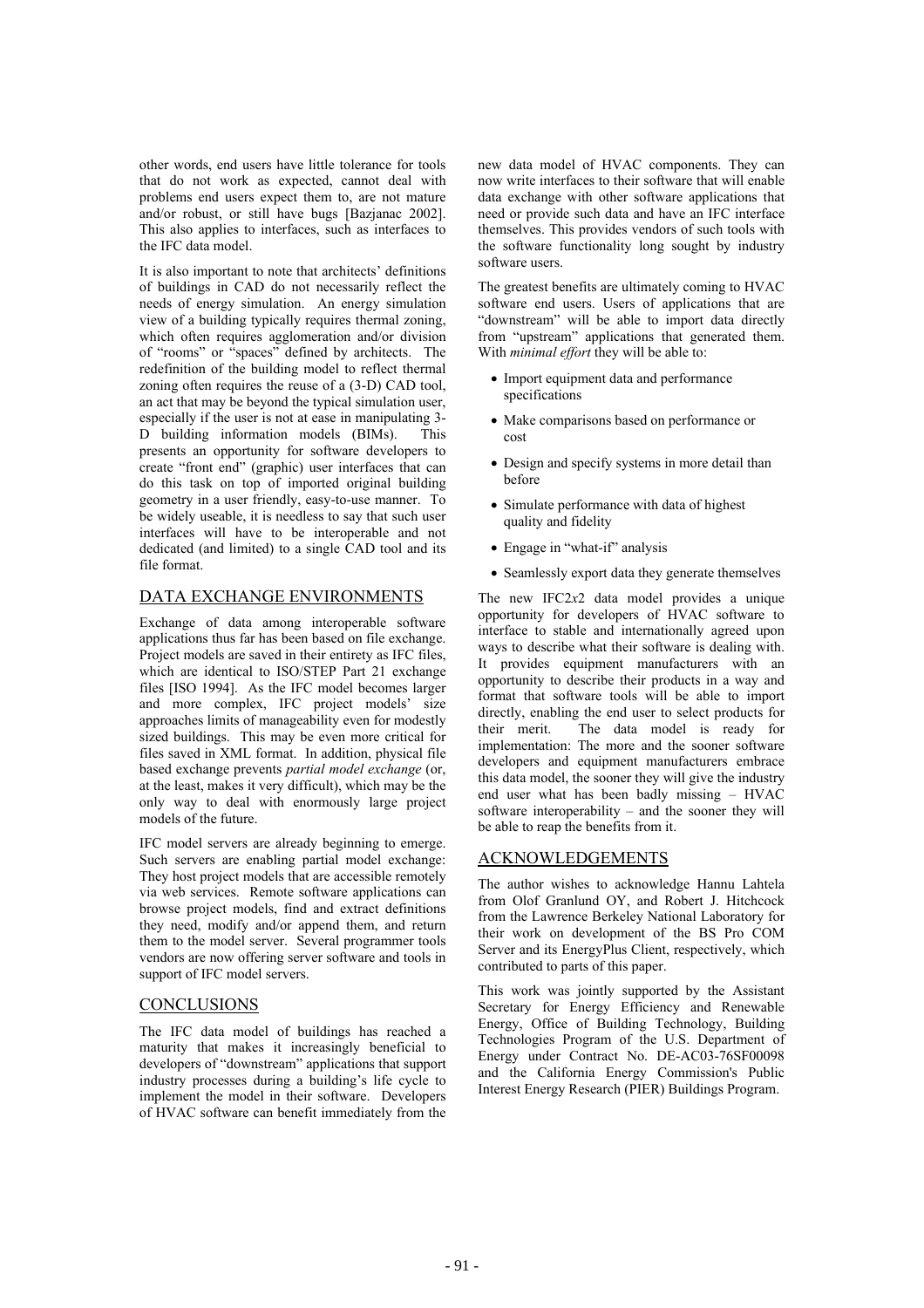other words, end users have little tolerance for tools that do not work as expected, cannot deal with problems end users expect them to, are not mature and/or robust, or still have bugs [Bazjanac 2002]. This also applies to interfaces, such as interfaces to the IFC data model.

It is also important to note that architects' definitions of buildings in CAD do not necessarily reflect the needs of energy simulation. An energy simulation view of a building typically requires thermal zoning, which often requires agglomeration and/or division of "rooms" or "spaces" defined by architects. The redefinition of the building model to reflect thermal zoning often requires the reuse of a (3-D) CAD tool, an act that may be beyond the typical simulation user, especially if the user is not at ease in manipulating 3- D building information models (BIMs). This presents an opportunity for software developers to create "front end" (graphic) user interfaces that can do this task on top of imported original building geometry in a user friendly, easy-to-use manner. To be widely useable, it is needless to say that such user interfaces will have to be interoperable and not dedicated (and limited) to a single CAD tool and its file format.

# DATA EXCHANGE ENVIRONMENTS

Exchange of data among interoperable software applications thus far has been based on file exchange. Project models are saved in their entirety as IFC files, which are identical to ISO/STEP Part 21 exchange files [ISO 1994]. As the IFC model becomes larger and more complex, IFC project models' size approaches limits of manageability even for modestly sized buildings. This may be even more critical for files saved in XML format. In addition, physical file based exchange prevents *partial model exchange* (or, at the least, makes it very difficult), which may be the only way to deal with enormously large project models of the future.

IFC model servers are already beginning to emerge. Such servers are enabling partial model exchange: They host project models that are accessible remotely via web services. Remote software applications can browse project models, find and extract definitions they need, modify and/or append them, and return them to the model server. Several programmer tools vendors are now offering server software and tools in support of IFC model servers.

## **CONCLUSIONS**

The IFC data model of buildings has reached a maturity that makes it increasingly beneficial to developers of "downstream" applications that support industry processes during a building's life cycle to implement the model in their software. Developers of HVAC software can benefit immediately from the new data model of HVAC components. They can now write interfaces to their software that will enable data exchange with other software applications that need or provide such data and have an IFC interface themselves. This provides vendors of such tools with the software functionality long sought by industry software users.

The greatest benefits are ultimately coming to HVAC software end users. Users of applications that are "downstream" will be able to import data directly from "upstream" applications that generated them. With *minimal effort* they will be able to:

- Import equipment data and performance specifications
- Make comparisons based on performance or cost
- Design and specify systems in more detail than before
- Simulate performance with data of highest quality and fidelity
- Engage in "what-if" analysis
- Seamlessly export data they generate themselves

The new IFC2*x*2 data model provides a unique opportunity for developers of HVAC software to interface to stable and internationally agreed upon ways to describe what their software is dealing with. It provides equipment manufacturers with an opportunity to describe their products in a way and format that software tools will be able to import directly, enabling the end user to select products for their merit. The data model is ready for implementation: The more and the sooner software developers and equipment manufacturers embrace this data model, the sooner they will give the industry end user what has been badly missing – HVAC software interoperability – and the sooner they will be able to reap the benefits from it.

# ACKNOWLEDGEMENTS

The author wishes to acknowledge Hannu Lahtela from Olof Granlund OY, and Robert J. Hitchcock from the Lawrence Berkeley National Laboratory for their work on development of the BS Pro COM Server and its EnergyPlus Client, respectively, which contributed to parts of this paper.

This work was jointly supported by the Assistant Secretary for Energy Efficiency and Renewable Energy, Office of Building Technology, Building Technologies Program of the U.S. Department of Energy under Contract No. DE-AC03-76SF00098 and the California Energy Commission's Public Interest Energy Research (PIER) Buildings Program.